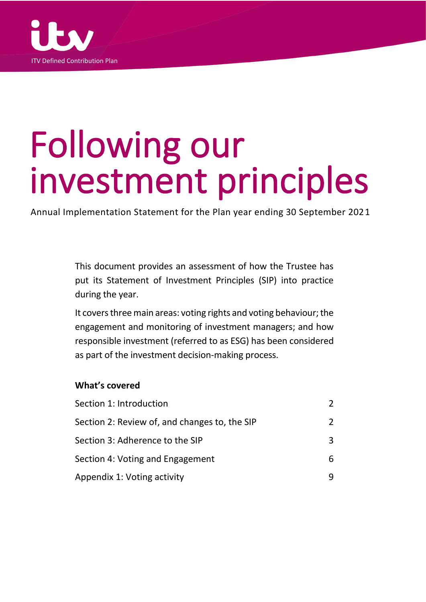

# Following our investment principles

Annual Implementation Statement for the Plan year ending 30 September 2021

This document provides an assessment of how the Trustee has put its Statement of Investment Principles (SIP) into practice during the year.

It covers three main areas: voting rights and voting behaviour; the engagement and monitoring of investment managers; and how responsible investment (referred to as ESG) has been considered as part of the investment decision-making process.

# **What's covered**

| Section 1: Introduction                       |               |
|-----------------------------------------------|---------------|
| Section 2: Review of, and changes to, the SIP | $\mathcal{P}$ |
| Section 3: Adherence to the SIP               | 3             |
| Section 4: Voting and Engagement              | 6             |
| Appendix 1: Voting activity                   |               |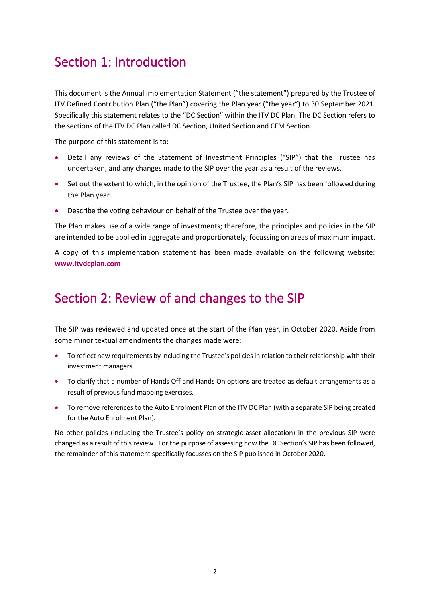# Section 1: Introduction

This document is the Annual Implementation Statement ("the statement") prepared by the Trustee of ITV Defined Contribution Plan ("the Plan") covering the Plan year ("the year") to 30 September 2021. Specifically this statement relates to the "DC Section" within the ITV DC Plan. The DC Section refers to the sections of the ITV DC Plan called DC Section, United Section and CFM Section.

The purpose of this statement is to:

- Detail any reviews of the Statement of Investment Principles ("SIP") that the Trustee has undertaken, and any changes made to the SIP over the year as a result of the reviews.
- Set out the extent to which, in the opinion of the Trustee, the Plan's SIP has been followed during the Plan year.
- Describe the voting behaviour on behalf of the Trustee over the year.

The Plan makes use of a wide range of investments; therefore, the principles and policies in the SIP are intended to be applied in aggregate and proportionately, focussing on areas of maximum impact.

A copy of this implementation statement has been made available on the following website: **[www.itvdcplan.com](http://www.itvdcplan.com/)**

# Section 2: Review of and changes to the SIP

The SIP was reviewed and updated once at the start of the Plan year, in October 2020. Aside from some minor textual amendments the changes made were:

- To reflect new requirements by including the Trustee's policies in relation to their relationship with their investment managers.
- To clarify that a number of Hands Off and Hands On options are treated as default arrangements as a result of previous fund mapping exercises.
- To remove references to the Auto Enrolment Plan of the ITV DC Plan (with a separate SIP being created for the Auto Enrolment Plan).

No other policies (including the Trustee's policy on strategic asset allocation) in the previous SIP were changed as a result of this review. For the purpose of assessing how the DC Section's SIP has been followed, the remainder of this statement specifically focusses on the SIP published in October 2020.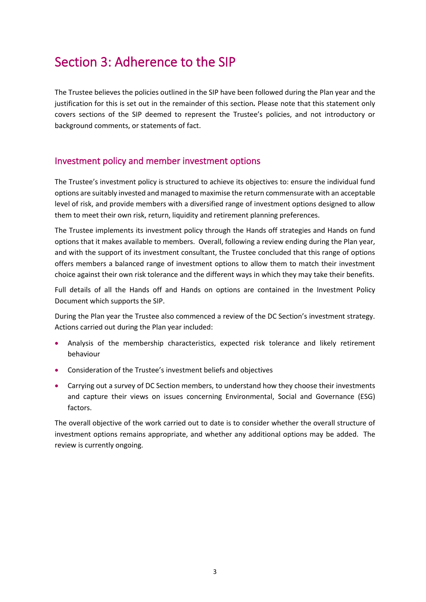# Section 3: Adherence to the SIP

The Trustee believes the policies outlined in the SIP have been followed during the Plan year and the justification for this is set out in the remainder of this section*.* Please note that this statement only covers sections of the SIP deemed to represent the Trustee's policies, and not introductory or background comments, or statements of fact.

# Investment policy and member investment options

The Trustee's investment policy is structured to achieve its objectives to: ensure the individual fund options are suitably invested and managed to maximise the return commensurate with an acceptable level of risk, and provide members with a diversified range of investment options designed to allow them to meet their own risk, return, liquidity and retirement planning preferences.

The Trustee implements its investment policy through the Hands off strategies and Hands on fund options that it makes available to members. Overall, following a review ending during the Plan year, and with the support of its investment consultant, the Trustee concluded that this range of options offers members a balanced range of investment options to allow them to match their investment choice against their own risk tolerance and the different ways in which they may take their benefits.

Full details of all the Hands off and Hands on options are contained in the Investment Policy Document which supports the SIP.

During the Plan year the Trustee also commenced a review of the DC Section's investment strategy. Actions carried out during the Plan year included:

- Analysis of the membership characteristics, expected risk tolerance and likely retirement behaviour
- Consideration of the Trustee's investment beliefs and objectives
- Carrying out a survey of DC Section members, to understand how they choose their investments and capture their views on issues concerning Environmental, Social and Governance (ESG) factors.

The overall objective of the work carried out to date is to consider whether the overall structure of investment options remains appropriate, and whether any additional options may be added. The review is currently ongoing.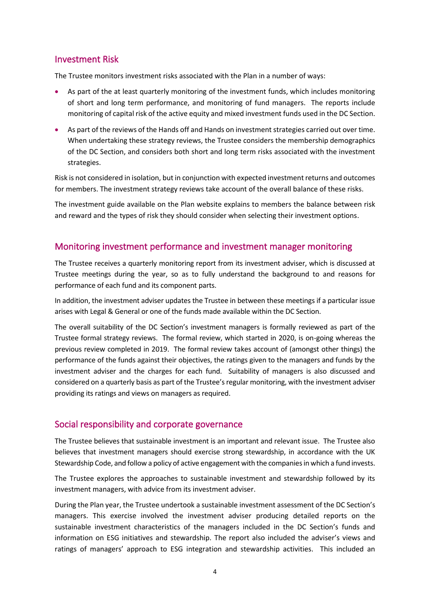# Investment Risk

The Trustee monitors investment risks associated with the Plan in a number of ways:

- As part of the at least quarterly monitoring of the investment funds, which includes monitoring of short and long term performance, and monitoring of fund managers. The reports include monitoring of capital risk of the active equity and mixed investment funds used in the DC Section.
- As part of the reviews of the Hands off and Hands on investment strategies carried out over time. When undertaking these strategy reviews, the Trustee considers the membership demographics of the DC Section, and considers both short and long term risks associated with the investment strategies.

Risk is not considered in isolation, but in conjunction with expected investment returns and outcomes for members. The investment strategy reviews take account of the overall balance of these risks.

The investment guide available on the Plan website explains to members the balance between risk and reward and the types of risk they should consider when selecting their investment options.

# Monitoring investment performance and investment manager monitoring

The Trustee receives a quarterly monitoring report from its investment adviser, which is discussed at Trustee meetings during the year, so as to fully understand the background to and reasons for performance of each fund and its component parts.

In addition, the investment adviser updates the Trustee in between these meetings if a particular issue arises with Legal & General or one of the funds made available within the DC Section.

The overall suitability of the DC Section's investment managers is formally reviewed as part of the Trustee formal strategy reviews. The formal review, which started in 2020, is on-going whereas the previous review completed in 2019. The formal review takes account of (amongst other things) the performance of the funds against their objectives, the ratings given to the managers and funds by the investment adviser and the charges for each fund. Suitability of managers is also discussed and considered on a quarterly basis as part of the Trustee's regular monitoring, with the investment adviser providing its ratings and views on managers as required.

# Social responsibility and corporate governance

The Trustee believes that sustainable investment is an important and relevant issue. The Trustee also believes that investment managers should exercise strong stewardship, in accordance with the UK Stewardship Code, and follow a policy of active engagement with the companies in which a fund invests.

The Trustee explores the approaches to sustainable investment and stewardship followed by its investment managers, with advice from its investment adviser.

During the Plan year, the Trustee undertook a sustainable investment assessment of the DC Section's managers. This exercise involved the investment adviser producing detailed reports on the sustainable investment characteristics of the managers included in the DC Section's funds and information on ESG initiatives and stewardship. The report also included the adviser's views and ratings of managers' approach to ESG integration and stewardship activities. This included an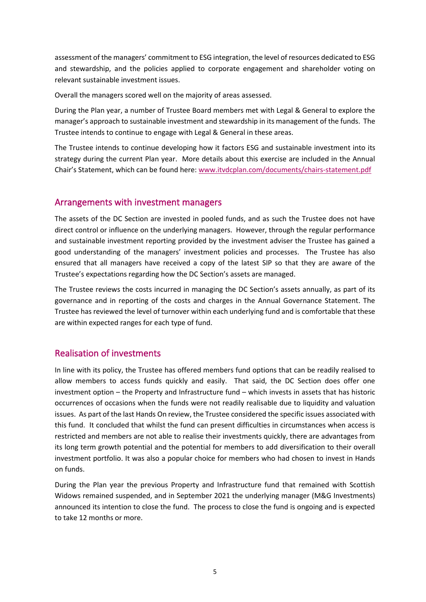assessment of the managers' commitment to ESG integration, the level of resources dedicated to ESG and stewardship, and the policies applied to corporate engagement and shareholder voting on relevant sustainable investment issues.

Overall the managers scored well on the majority of areas assessed.

During the Plan year, a number of Trustee Board members met with Legal & General to explore the manager's approach to sustainable investment and stewardship in its management of the funds. The Trustee intends to continue to engage with Legal & General in these areas.

The Trustee intends to continue developing how it factors ESG and sustainable investment into its strategy during the current Plan year. More details about this exercise are included in the Annual Chair's Statement, which can be found here: [www.itvdcplan.com/documents/chairs-statement.pdf](https://itvdcplan.com/documents/chairs-statement.pdf)

## Arrangements with investment managers

The assets of the DC Section are invested in pooled funds, and as such the Trustee does not have direct control or influence on the underlying managers. However, through the regular performance and sustainable investment reporting provided by the investment adviser the Trustee has gained a good understanding of the managers' investment policies and processes. The Trustee has also ensured that all managers have received a copy of the latest SIP so that they are aware of the Trustee's expectations regarding how the DC Section's assets are managed.

The Trustee reviews the costs incurred in managing the DC Section's assets annually, as part of its governance and in reporting of the costs and charges in the Annual Governance Statement. The Trustee has reviewed the level of turnover within each underlying fund and is comfortable that these are within expected ranges for each type of fund.

# Realisation of investments

In line with its policy, the Trustee has offered members fund options that can be readily realised to allow members to access funds quickly and easily. That said, the DC Section does offer one investment option – the Property and Infrastructure fund – which invests in assets that has historic occurrences of occasions when the funds were not readily realisable due to liquidity and valuation issues. As part of the last Hands On review, the Trustee considered the specific issues associated with this fund. It concluded that whilst the fund can present difficulties in circumstances when access is restricted and members are not able to realise their investments quickly, there are advantages from its long term growth potential and the potential for members to add diversification to their overall investment portfolio. It was also a popular choice for members who had chosen to invest in Hands on funds.

During the Plan year the previous Property and Infrastructure fund that remained with Scottish Widows remained suspended, and in September 2021 the underlying manager (M&G Investments) announced its intention to close the fund. The process to close the fund is ongoing and is expected to take 12 months or more.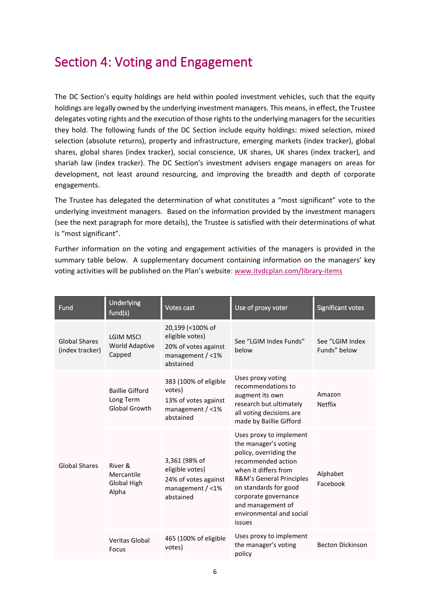# Section 4: Voting and Engagement

The DC Section's equity holdings are held within pooled investment vehicles, such that the equity holdings are legally owned by the underlying investment managers. This means, in effect, the Trustee delegates voting rights and the execution of those rights to the underlying managers for the securities they hold. The following funds of the DC Section include equity holdings: mixed selection, mixed selection (absolute returns), property and infrastructure, emerging markets (index tracker), global shares, global shares (index tracker), social conscience, UK shares, UK shares (index tracker), and shariah law (index tracker). The DC Section's investment advisers engage managers on areas for development, not least around resourcing, and improving the breadth and depth of corporate engagements.

The Trustee has delegated the determination of what constitutes a "most significant" vote to the underlying investment managers. Based on the information provided by the investment managers (see the next paragraph for more details), the Trustee is satisfied with their determinations of what is "most significant".

Further information on the voting and engagement activities of the managers is provided in the summary table below. A supplementary document containing information on the managers' key voting activities will be published on the Plan's website: [www.itvdcplan.com/library-items](http://www.itvdcplan.com/library-items/)

| Fund                                    | Underlying<br>fund(s)                                       | Votes cast                                                                                     | Use of proxy voter                                                                                                                                                                                                                                              | Significant votes               |
|-----------------------------------------|-------------------------------------------------------------|------------------------------------------------------------------------------------------------|-----------------------------------------------------------------------------------------------------------------------------------------------------------------------------------------------------------------------------------------------------------------|---------------------------------|
| <b>Global Shares</b><br>(index tracker) | <b>LGIM MSCI</b><br>World Adaptive<br>Capped                | 20,199 (<100% of<br>eligible votes)<br>20% of votes against<br>management $/$ <1%<br>abstained | See "LGIM Index Funds"<br>below                                                                                                                                                                                                                                 | See "LGIM Index<br>Funds" below |
| <b>Global Shares</b>                    | <b>Baillie Gifford</b><br>Long Term<br><b>Global Growth</b> | 383 (100% of eligible<br>votes)<br>13% of votes against<br>management $/$ <1%<br>abstained     | Uses proxy voting<br>recommendations to<br>augment its own<br>research but ultimately<br>all voting decisions are<br>made by Baillie Gifford                                                                                                                    | Amazon<br><b>Netflix</b>        |
|                                         | River &<br>Mercantile<br>Global High<br>Alpha               | 3,361 (98% of<br>eligible votes)<br>24% of votes against<br>management / <1%<br>abstained      | Uses proxy to implement<br>the manager's voting<br>policy, overriding the<br>recommended action<br>when it differs from<br>R&M's General Principles<br>on standards for good<br>corporate governance<br>and management of<br>environmental and social<br>issues | Alphabet<br>Facebook            |
|                                         | Veritas Global<br>Focus                                     | 465 (100% of eligible<br>votes)                                                                | Uses proxy to implement<br>the manager's voting<br>policy                                                                                                                                                                                                       | <b>Becton Dickinson</b>         |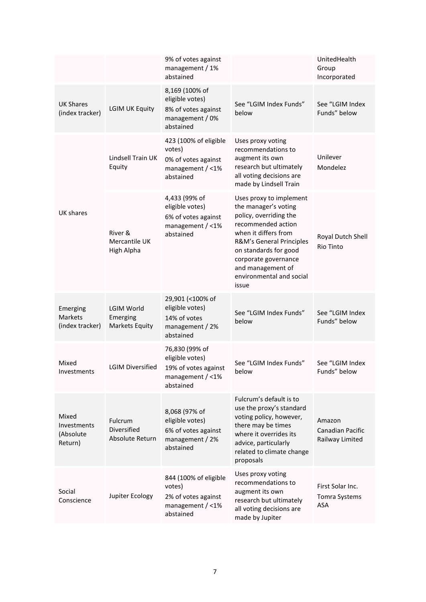|                                                     |                                                  | 9% of votes against<br>management / 1%<br>abstained                                           |                                                                                                                                                                                                                                                                | UnitedHealth<br>Group<br>Incorporated                |
|-----------------------------------------------------|--------------------------------------------------|-----------------------------------------------------------------------------------------------|----------------------------------------------------------------------------------------------------------------------------------------------------------------------------------------------------------------------------------------------------------------|------------------------------------------------------|
| <b>UK Shares</b><br>(index tracker)                 | <b>LGIM UK Equity</b>                            | 8,169 (100% of<br>eligible votes)<br>8% of votes against<br>management / 0%<br>abstained      | See "LGIM Index Funds"<br>below                                                                                                                                                                                                                                | See "LGIM Index<br>Funds" below                      |
| UK shares                                           | Lindsell Train UK<br>Equity                      | 423 (100% of eligible<br>votes)<br>0% of votes against<br>management / <1%<br>abstained       | Uses proxy voting<br>recommendations to<br>augment its own<br>research but ultimately<br>all voting decisions are<br>made by Lindsell Train                                                                                                                    | Unilever<br>Mondelez                                 |
|                                                     | River &<br>Mercantile UK<br>High Alpha           | 4,433 (99% of<br>eligible votes)<br>6% of votes against<br>management / <1%<br>abstained      | Uses proxy to implement<br>the manager's voting<br>policy, overriding the<br>recommended action<br>when it differs from<br>R&M's General Principles<br>on standards for good<br>corporate governance<br>and management of<br>environmental and social<br>issue | Royal Dutch Shell<br><b>Rio Tinto</b>                |
| Emerging<br><b>Markets</b><br>(index tracker)       | LGIM World<br>Emerging<br><b>Markets Equity</b>  | 29,901 (<100% of<br>eligible votes)<br>14% of votes<br>management / 2%<br>abstained           | See "LGIM Index Funds"<br>below                                                                                                                                                                                                                                | See "LGIM Index<br>Funds" below                      |
| Mixed<br>Investments                                | <b>LGIM Diversified</b>                          | 76,830 (99% of<br>eligible votes)<br>19% of votes against<br>management / $<$ 1%<br>abstained | See "LGIM Index Funds"<br>below                                                                                                                                                                                                                                | See "LGIM Index<br>Funds" below                      |
| Mixed<br><b>Investments</b><br>(Absolute<br>Return) | <b>Fulcrum</b><br>Diversified<br>Absolute Return | 8,068 (97% of<br>eligible votes)<br>6% of votes against<br>management / 2%<br>abstained       | Fulcrum's default is to<br>use the proxy's standard<br>voting policy, however,<br>there may be times<br>where it overrides its<br>advice, particularly<br>related to climate change<br>proposals                                                               | Amazon<br><b>Canadian Pacific</b><br>Railway Limited |
| Social<br>Conscience                                | Jupiter Ecology                                  | 844 (100% of eligible<br>votes)<br>2% of votes against<br>management / <1%<br>abstained       | Uses proxy voting<br>recommendations to<br>augment its own<br>research but ultimately<br>all voting decisions are<br>made by Jupiter                                                                                                                           | First Solar Inc.<br>Tomra Systems<br><b>ASA</b>      |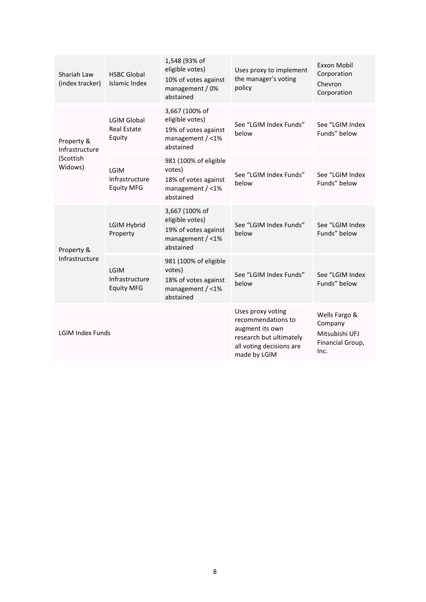| Shariah Law<br>(index tracker)                       | <b>HSBC Global</b><br>Islamic Index                | 1,548 (93% of<br>eligible votes)<br>10% of votes against<br>management / 0%<br>abstained     | Uses proxy to implement<br>the manager's voting<br>policy                                                                         | Exxon Mobil<br>Corporation<br>Chevron<br>Corporation                   |
|------------------------------------------------------|----------------------------------------------------|----------------------------------------------------------------------------------------------|-----------------------------------------------------------------------------------------------------------------------------------|------------------------------------------------------------------------|
| Property &<br>Infrastructure<br>(Scottish<br>Widows) | <b>LGIM Global</b><br><b>Real Estate</b><br>Equity | 3,667 (100% of<br>eligible votes)<br>19% of votes against<br>management / <1%<br>abstained   | See "LGIM Index Funds"<br>helow                                                                                                   | See "LGIM Index<br>Funds" below                                        |
|                                                      | LGIM<br>Infrastructure<br><b>Equity MFG</b>        | 981 (100% of eligible<br>votes)<br>18% of votes against<br>management / <1%<br>abstained     | See "LGIM Index Funds"<br>below                                                                                                   | See "LGIM Index<br>Funds" below                                        |
| Property &<br>Infrastructure                         | <b>LGIM Hybrid</b><br>Property                     | 3,667 (100% of<br>eligible votes)<br>19% of votes against<br>management $/$ <1%<br>abstained | See "LGIM Index Funds"<br>below                                                                                                   | See "LGIM Index<br>Funds" below                                        |
|                                                      | LGIM<br>Infrastructure<br><b>Equity MFG</b>        | 981 (100% of eligible<br>votes)<br>18% of votes against<br>management $/$ <1%<br>abstained   | See "LGIM Index Funds"<br>below                                                                                                   | See "LGIM Index<br>Funds" below                                        |
| <b>LGIM Index Funds</b>                              |                                                    |                                                                                              | Uses proxy voting<br>recommendations to<br>augment its own<br>research but ultimately<br>all voting decisions are<br>made by LGIM | Wells Fargo &<br>Company<br>Mitsubishi UFJ<br>Financial Group,<br>Inc. |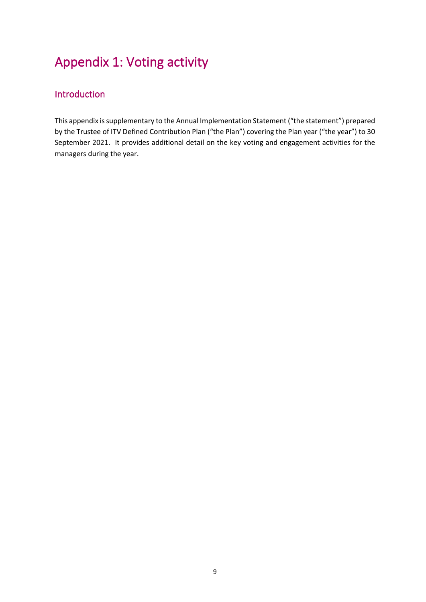# Appendix 1: Voting activity

# Introduction

This appendix is supplementary to the Annual Implementation Statement ("the statement") prepared by the Trustee of ITV Defined Contribution Plan ("the Plan") covering the Plan year ("the year") to 30 September 2021. It provides additional detail on the key voting and engagement activities for the managers during the year.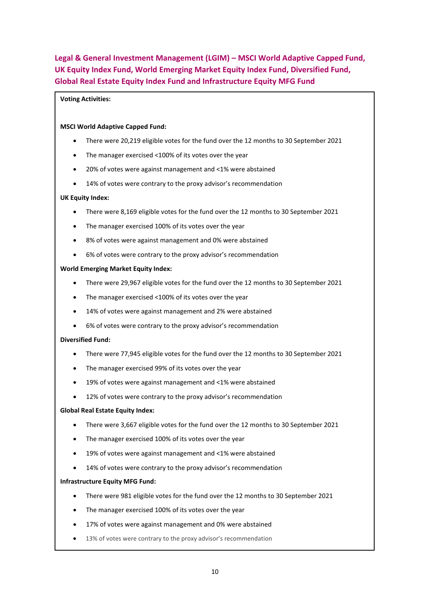**Legal & General Investment Management (LGIM) – MSCI World Adaptive Capped Fund, UK Equity Index Fund, World Emerging Market Equity Index Fund, Diversified Fund, Global Real Estate Equity Index Fund and Infrastructure Equity MFG Fund**

#### **Voting Activities:**

#### **MSCI World Adaptive Capped Fund:**

- There were 20,219 eligible votes for the fund over the 12 months to 30 September 2021
- The manager exercised <100% of its votes over the year
- 20% of votes were against management and <1% were abstained
- 14% of votes were contrary to the proxy advisor's recommendation

#### **UK Equity Index:**

- There were 8,169 eligible votes for the fund over the 12 months to 30 September 2021
- The manager exercised 100% of its votes over the year
- 8% of votes were against management and 0% were abstained
- 6% of votes were contrary to the proxy advisor's recommendation

#### **World Emerging Market Equity Index:**

- There were 29,967 eligible votes for the fund over the 12 months to 30 September 2021
- The manager exercised <100% of its votes over the year
- 14% of votes were against management and 2% were abstained
- 6% of votes were contrary to the proxy advisor's recommendation

#### **Diversified Fund:**

- There were 77,945 eligible votes for the fund over the 12 months to 30 September 2021
- The manager exercised 99% of its votes over the year
- 19% of votes were against management and <1% were abstained
- 12% of votes were contrary to the proxy advisor's recommendation

#### **Global Real Estate Equity Index:**

- There were 3,667 eligible votes for the fund over the 12 months to 30 September 2021
- The manager exercised 100% of its votes over the year
- 19% of votes were against management and <1% were abstained
- 14% of votes were contrary to the proxy advisor's recommendation

#### **Infrastructure Equity MFG Fund:**

- There were 981 eligible votes for the fund over the 12 months to 30 September 2021
- The manager exercised 100% of its votes over the year
- 17% of votes were against management and 0% were abstained
- 13% of votes were contrary to the proxy advisor's recommendation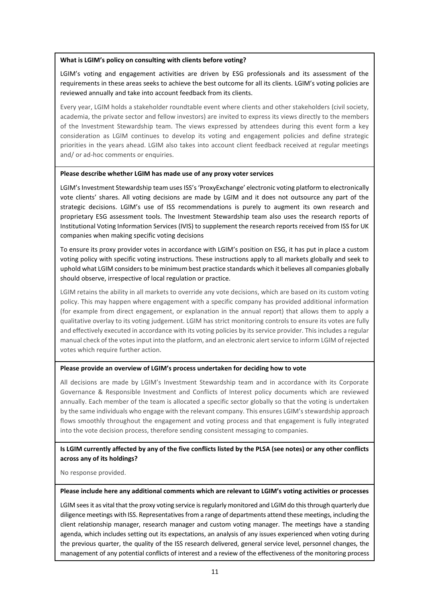#### **What is LGIM's policy on consulting with clients before voting?**

LGIM's voting and engagement activities are driven by ESG professionals and its assessment of the requirements in these areas seeks to achieve the best outcome for all its clients. LGIM's voting policies are reviewed annually and take into account feedback from its clients.

Every year, LGIM holds a stakeholder roundtable event where clients and other stakeholders (civil society, academia, the private sector and fellow investors) are invited to express its views directly to the members of the Investment Stewardship team. The views expressed by attendees during this event form a key consideration as LGIM continues to develop its voting and engagement policies and define strategic priorities in the years ahead. LGIM also takes into account client feedback received at regular meetings and/ or ad-hoc comments or enquiries.

#### **Please describe whether LGIM has made use of any proxy voter services**

LGIM's Investment Stewardship team uses ISS's 'ProxyExchange' electronic voting platform to electronically vote clients' shares. All voting decisions are made by LGIM and it does not outsource any part of the strategic decisions. LGIM's use of ISS recommendations is purely to augment its own research and proprietary ESG assessment tools. The Investment Stewardship team also uses the research reports of Institutional Voting Information Services (IVIS) to supplement the research reports received from ISS for UK companies when making specific voting decisions

To ensure its proxy provider votes in accordance with LGIM's position on ESG, it has put in place a custom voting policy with specific voting instructions. These instructions apply to all markets globally and seek to uphold what LGIM considers to be minimum best practice standards which it believes all companies globally should observe, irrespective of local regulation or practice.

LGIM retains the ability in all markets to override any vote decisions, which are based on its custom voting policy. This may happen where engagement with a specific company has provided additional information (for example from direct engagement, or explanation in the annual report) that allows them to apply a qualitative overlay to its voting judgement. LGIM has strict monitoring controls to ensure its votes are fully and effectively executed in accordance with its voting policies by its service provider. This includes a regular manual check of the votes input into the platform, and an electronic alert service to inform LGIM of rejected votes which require further action.

#### **Please provide an overview of LGIM's process undertaken for deciding how to vote**

All decisions are made by LGIM's Investment Stewardship team and in accordance with its Corporate Governance & Responsible Investment and Conflicts of Interest policy documents which are reviewed annually. Each member of the team is allocated a specific sector globally so that the voting is undertaken by the same individuals who engage with the relevant company. This ensures LGIM's stewardship approach flows smoothly throughout the engagement and voting process and that engagement is fully integrated into the vote decision process, therefore sending consistent messaging to companies.

#### **Is LGIM currently affected by any of the five conflicts listed by the PLSA (see notes) or any other conflicts across any of its holdings?**

No response provided.

#### **Please include here any additional comments which are relevant to LGIM's voting activities or processes**

LGIM sees it as vital that the proxy voting service is regularly monitored and LGIM do this through quarterly due diligence meetings with ISS. Representatives from a range of departments attend these meetings, including the client relationship manager, research manager and custom voting manager. The meetings have a standing agenda, which includes setting out its expectations, an analysis of any issues experienced when voting during the previous quarter, the quality of the ISS research delivered, general service level, personnel changes, the management of any potential conflicts of interest and a review of the effectiveness of the monitoring process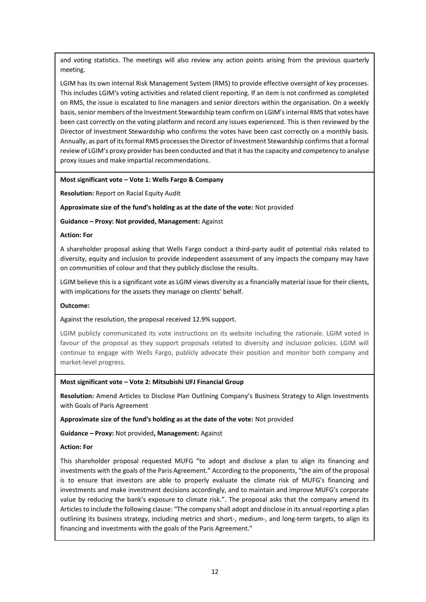and voting statistics. The meetings will also review any action points arising from the previous quarterly meeting.

LGIM has its own internal Risk Management System (RMS) to provide effective oversight of key processes. This includes LGIM's voting activities and related client reporting. If an item is not confirmed as completed on RMS, the issue is escalated to line managers and senior directors within the organisation. On a weekly basis, senior members of the Investment Stewardship team confirm on LGIM's internal RMS that votes have been cast correctly on the voting platform and record any issues experienced. This is then reviewed by the Director of Investment Stewardship who confirms the votes have been cast correctly on a monthly basis. Annually, as part of its formal RMS processes the Director of Investment Stewardship confirms that a formal review of LGIM's proxy provider has been conducted and that it has the capacity and competency to analyse proxy issues and make impartial recommendations.

#### **Most significant vote – Vote 1: Wells Fargo & Company**

**Resolution:** Report on Racial Equity Audit

#### **Approximate size of the fund's holding as at the date of the vote:** Not provided

**Guidance – Proxy: Not provided, Management:** Against

#### **Action: For**

A shareholder proposal asking that Wells Fargo conduct a third-party audit of potential risks related to diversity, equity and inclusion to provide independent assessment of any impacts the company may have on communities of colour and that they publicly disclose the results.

LGIM believe this is a significant vote as LGIM views diversity as a financially material issue for their clients, with implications for the assets they manage on clients' behalf.

#### **Outcome:**

Against the resolution, the proposal received 12.9% support.

LGIM publicly communicated its vote instructions on its website including the rationale. LGIM voted in favour of the proposal as they support proposals related to diversity and inclusion policies. LGIM will continue to engage with Wells Fargo, publicly advocate their position and monitor both company and market-level progress.

#### **Most significant vote – Vote 2: Mitsubishi UFJ Financial Group**

**Resolution:** Amend Articles to Disclose Plan Outlining Company's Business Strategy to Align Investments with Goals of Paris Agreement

**Approximate size of the fund's holding as at the date of the vote:** Not provided

**Guidance – Proxy:** Not provided**, Management:** Against

#### **Action: For**

This shareholder proposal requested MUFG "to adopt and disclose a plan to align its financing and investments with the goals of the Paris Agreement." According to the proponents, "the aim of the proposal is to ensure that investors are able to properly evaluate the climate risk of MUFG's financing and investments and make investment decisions accordingly, and to maintain and improve MUFG's corporate value by reducing the bank's exposure to climate risk.". The proposal asks that the company amend its Articles to include the following clause: "The company shall adopt and disclose in its annual reporting a plan outlining its business strategy, including metrics and short-, medium-, and long-term targets, to align its financing and investments with the goals of the Paris Agreement."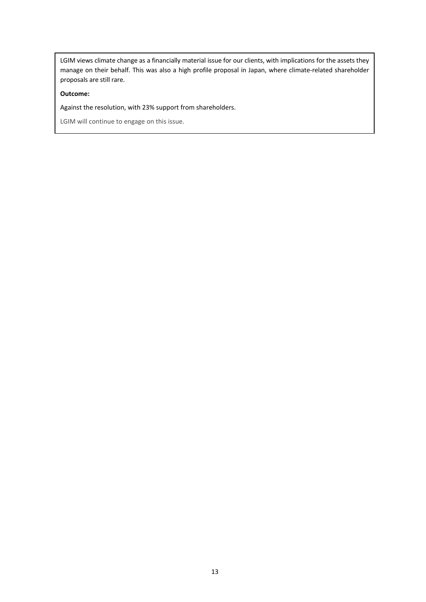LGIM views climate change as a financially material issue for our clients, with implications for the assets they manage on their behalf. This was also a high profile proposal in Japan, where climate-related shareholder proposals are still rare.

#### **Outcome:**

Against the resolution, with 23% support from shareholders.

LGIM will continue to engage on this issue.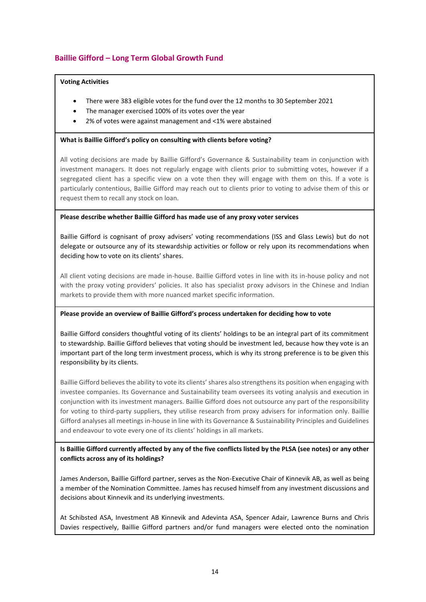## **Baillie Gifford – Long Term Global Growth Fund**

#### **Voting Activities**

- There were 383 eligible votes for the fund over the 12 months to 30 September 2021
- The manager exercised 100% of its votes over the year
- 2% of votes were against management and <1% were abstained

#### **What is Baillie Gifford's policy on consulting with clients before voting?**

All voting decisions are made by Baillie Gifford's Governance & Sustainability team in conjunction with investment managers. It does not regularly engage with clients prior to submitting votes, however if a segregated client has a specific view on a vote then they will engage with them on this. If a vote is particularly contentious, Baillie Gifford may reach out to clients prior to voting to advise them of this or request them to recall any stock on loan.

#### **Please describe whether Baillie Gifford has made use of any proxy voter services**

Baillie Gifford is cognisant of proxy advisers' voting recommendations (ISS and Glass Lewis) but do not delegate or outsource any of its stewardship activities or follow or rely upon its recommendations when deciding how to vote on its clients' shares.

All client voting decisions are made in-house. Baillie Gifford votes in line with its in-house policy and not with the proxy voting providers' policies. It also has specialist proxy advisors in the Chinese and Indian markets to provide them with more nuanced market specific information.

#### **Please provide an overview of Baillie Gifford's process undertaken for deciding how to vote**

Baillie Gifford considers thoughtful voting of its clients' holdings to be an integral part of its commitment to stewardship. Baillie Gifford believes that voting should be investment led, because how they vote is an important part of the long term investment process, which is why its strong preference is to be given this responsibility by its clients.

Baillie Gifford believes the ability to vote its clients' shares also strengthens its position when engaging with investee companies. Its Governance and Sustainability team oversees its voting analysis and execution in conjunction with its investment managers. Baillie Gifford does not outsource any part of the responsibility for voting to third-party suppliers, they utilise research from proxy advisers for information only. Baillie Gifford analyses all meetings in-house in line with its Governance & Sustainability Principles and Guidelines and endeavour to vote every one of its clients' holdings in all markets.

#### **Is Baillie Gifford currently affected by any of the five conflicts listed by the PLSA (see notes) or any other conflicts across any of its holdings?**

James Anderson, Baillie Gifford partner, serves as the Non-Executive Chair of Kinnevik AB, as well as being a member of the Nomination Committee. James has recused himself from any investment discussions and decisions about Kinnevik and its underlying investments.

At Schibsted ASA, Investment AB Kinnevik and Adevinta ASA, Spencer Adair, Lawrence Burns and Chris Davies respectively, Baillie Gifford partners and/or fund managers were elected onto the nomination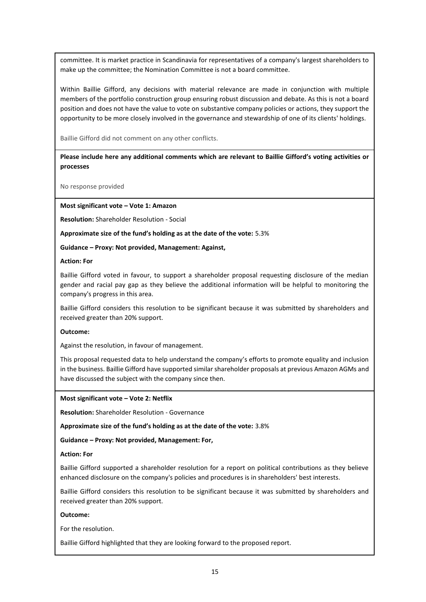committee. It is market practice in Scandinavia for representatives of a company's largest shareholders to make up the committee; the Nomination Committee is not a board committee.

Within Baillie Gifford, any decisions with material relevance are made in conjunction with multiple members of the portfolio construction group ensuring robust discussion and debate. As this is not a board position and does not have the value to vote on substantive company policies or actions, they support the opportunity to be more closely involved in the governance and stewardship of one of its clients' holdings.

Baillie Gifford did not comment on any other conflicts.

**Please include here any additional comments which are relevant to Baillie Gifford's voting activities or processes**

No response provided

**Most significant vote – Vote 1: Amazon**

**Resolution:** Shareholder Resolution - Social

**Approximate size of the fund's holding as at the date of the vote:** 5.3%

**Guidance – Proxy: Not provided, Management: Against,**

#### **Action: For**

Baillie Gifford voted in favour, to support a shareholder proposal requesting disclosure of the median gender and racial pay gap as they believe the additional information will be helpful to monitoring the company's progress in this area.

Baillie Gifford considers this resolution to be significant because it was submitted by shareholders and received greater than 20% support.

#### **Outcome:**

Against the resolution, in favour of management.

This proposal requested data to help understand the company's efforts to promote equality and inclusion in the business. Baillie Gifford have supported similar shareholder proposals at previous Amazon AGMs and have discussed the subject with the company since then.

#### **Most significant vote – Vote 2: Netflix**

**Resolution:** Shareholder Resolution - Governance

**Approximate size of the fund's holding as at the date of the vote:** 3.8%

**Guidance – Proxy: Not provided, Management: For,**

#### **Action: For**

Baillie Gifford supported a shareholder resolution for a report on political contributions as they believe enhanced disclosure on the company's policies and procedures is in shareholders' best interests.

Baillie Gifford considers this resolution to be significant because it was submitted by shareholders and received greater than 20% support.

#### **Outcome:**

For the resolution.

Baillie Gifford highlighted that they are looking forward to the proposed report.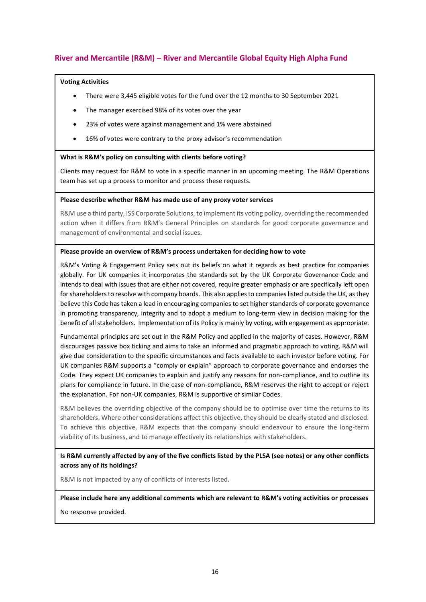## **River and Mercantile (R&M) – River and Mercantile Global Equity High Alpha Fund**

#### **Voting Activities**

- There were 3,445 eligible votes for the fund over the 12 months to 30 September 2021
- The manager exercised 98% of its votes over the year
- 23% of votes were against management and 1% were abstained
- 16% of votes were contrary to the proxy advisor's recommendation

#### **What is R&M's policy on consulting with clients before voting?**

Clients may request for R&M to vote in a specific manner in an upcoming meeting. The R&M Operations team has set up a process to monitor and process these requests.

#### **Please describe whether R&M has made use of any proxy voter services**

R&M use a third party, ISS Corporate Solutions, to implement its voting policy, overriding the recommended action when it differs from R&M's General Principles on standards for good corporate governance and management of environmental and social issues.

#### **Please provide an overview of R&M's process undertaken for deciding how to vote**

R&M's Voting & Engagement Policy sets out its beliefs on what it regards as best practice for companies globally. For UK companies it incorporates the standards set by the UK Corporate Governance Code and intends to deal with issues that are either not covered, require greater emphasis or are specifically left open for shareholders to resolve with company boards. This also applies to companies listed outside the UK, as they believe this Code has taken a lead in encouraging companies to set higher standards of corporate governance in promoting transparency, integrity and to adopt a medium to long-term view in decision making for the benefit of all stakeholders. Implementation of its Policy is mainly by voting, with engagement as appropriate.

Fundamental principles are set out in the R&M Policy and applied in the majority of cases. However, R&M discourages passive box ticking and aims to take an informed and pragmatic approach to voting. R&M will give due consideration to the specific circumstances and facts available to each investor before voting. For UK companies R&M supports a "comply or explain" approach to corporate governance and endorses the Code. They expect UK companies to explain and justify any reasons for non-compliance, and to outline its plans for compliance in future. In the case of non-compliance, R&M reserves the right to accept or reject the explanation. For non-UK companies, R&M is supportive of similar Codes.

R&M believes the overriding objective of the company should be to optimise over time the returns to its shareholders. Where other considerations affect this objective, they should be clearly stated and disclosed. To achieve this objective, R&M expects that the company should endeavour to ensure the long-term viability of its business, and to manage effectively its relationships with stakeholders.

**Is R&M currently affected by any of the five conflicts listed by the PLSA (see notes) or any other conflicts across any of its holdings?** 

R&M is not impacted by any of conflicts of interests listed.

**Please include here any additional comments which are relevant to R&M's voting activities or processes**

No response provided.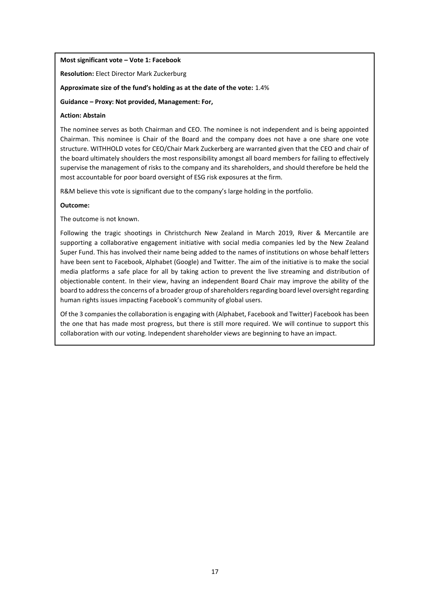#### **Most significant vote – Vote 1: Facebook**

**Resolution:** Elect Director Mark Zuckerburg

**Approximate size of the fund's holding as at the date of the vote:** 1.4%

**Guidance – Proxy: Not provided, Management: For,**

#### **Action: Abstain**

The nominee serves as both Chairman and CEO. The nominee is not independent and is being appointed Chairman. This nominee is Chair of the Board and the company does not have a one share one vote structure. WITHHOLD votes for CEO/Chair Mark Zuckerberg are warranted given that the CEO and chair of the board ultimately shoulders the most responsibility amongst all board members for failing to effectively supervise the management of risks to the company and its shareholders, and should therefore be held the most accountable for poor board oversight of ESG risk exposures at the firm.

R&M believe this vote is significant due to the company's large holding in the portfolio.

#### **Outcome:**

The outcome is not known.

Following the tragic shootings in Christchurch New Zealand in March 2019, River & Mercantile are supporting a collaborative engagement initiative with social media companies led by the New Zealand Super Fund. This has involved their name being added to the names of institutions on whose behalf letters have been sent to Facebook, Alphabet (Google) and Twitter. The aim of the initiative is to make the social media platforms a safe place for all by taking action to prevent the live streaming and distribution of objectionable content. In their view, having an independent Board Chair may improve the ability of the board to address the concerns of a broader group of shareholders regarding board level oversight regarding human rights issues impacting Facebook's community of global users.

Of the 3 companies the collaboration is engaging with (Alphabet, Facebook and Twitter) Facebook has been the one that has made most progress, but there is still more required. We will continue to support this collaboration with our voting. Independent shareholder views are beginning to have an impact.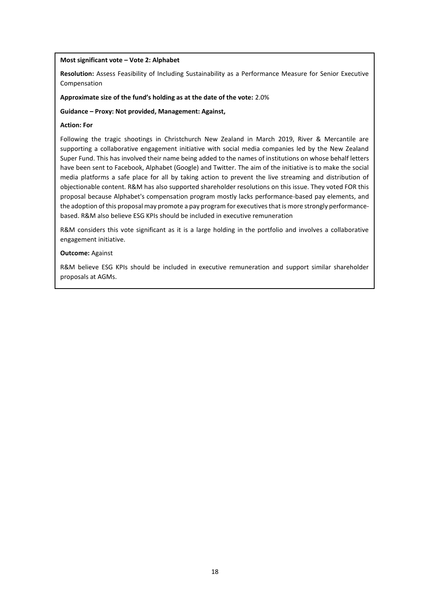#### **Most significant vote – Vote 2: Alphabet**

**Resolution:** Assess Feasibility of Including Sustainability as a Performance Measure for Senior Executive Compensation

#### **Approximate size of the fund's holding as at the date of the vote:** 2.0%

#### **Guidance – Proxy: Not provided, Management: Against,**

#### **Action: For**

Following the tragic shootings in Christchurch New Zealand in March 2019, River & Mercantile are supporting a collaborative engagement initiative with social media companies led by the New Zealand Super Fund. This has involved their name being added to the names of institutions on whose behalf letters have been sent to Facebook, Alphabet (Google) and Twitter. The aim of the initiative is to make the social media platforms a safe place for all by taking action to prevent the live streaming and distribution of objectionable content. R&M has also supported shareholder resolutions on this issue. They voted FOR this proposal because Alphabet's compensation program mostly lacks performance-based pay elements, and the adoption of this proposal may promote a pay program for executives that is more strongly performancebased. R&M also believe ESG KPIs should be included in executive remuneration

R&M considers this vote significant as it is a large holding in the portfolio and involves a collaborative engagement initiative.

#### **Outcome:** Against

R&M believe ESG KPIs should be included in executive remuneration and support similar shareholder proposals at AGMs.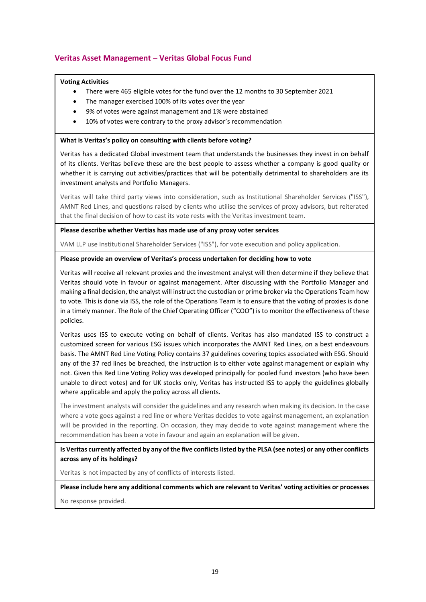# **Veritas Asset Management – Veritas Global Focus Fund**

#### **Voting Activities**

- There were 465 eligible votes for the fund over the 12 months to 30 September 2021
- The manager exercised 100% of its votes over the year
- 9% of votes were against management and 1% were abstained
- 10% of votes were contrary to the proxy advisor's recommendation

#### **What is Veritas's policy on consulting with clients before voting?**

Veritas has a dedicated Global investment team that understands the businesses they invest in on behalf of its clients. Veritas believe these are the best people to assess whether a company is good quality or whether it is carrying out activities/practices that will be potentially detrimental to shareholders are its investment analysts and Portfolio Managers.

Veritas will take third party views into consideration, such as Institutional Shareholder Services ("ISS"), AMNT Red Lines, and questions raised by clients who utilise the services of proxy advisors, but reiterated that the final decision of how to cast its vote rests with the Veritas investment team.

#### **Please describe whether Vertias has made use of any proxy voter services**

VAM LLP use Institutional Shareholder Services ("ISS"), for vote execution and policy application.

#### **Please provide an overview of Veritas's process undertaken for deciding how to vote**

Veritas will receive all relevant proxies and the investment analyst will then determine if they believe that Veritas should vote in favour or against management. After discussing with the Portfolio Manager and making a final decision, the analyst will instruct the custodian or prime broker via the Operations Team how to vote. This is done via ISS, the role of the Operations Team is to ensure that the voting of proxies is done in a timely manner. The Role of the Chief Operating Officer ("COO") is to monitor the effectiveness of these policies.

Veritas uses ISS to execute voting on behalf of clients. Veritas has also mandated ISS to construct a customized screen for various ESG issues which incorporates the AMNT Red Lines, on a best endeavours basis. The AMNT Red Line Voting Policy contains 37 guidelines covering topics associated with ESG. Should any of the 37 red lines be breached, the instruction is to either vote against management or explain why not. Given this Red Line Voting Policy was developed principally for pooled fund investors (who have been unable to direct votes) and for UK stocks only, Veritas has instructed ISS to apply the guidelines globally where applicable and apply the policy across all clients.

The investment analysts will consider the guidelines and any research when making its decision. In the case where a vote goes against a red line or where Veritas decides to vote against management, an explanation will be provided in the reporting. On occasion, they may decide to vote against management where the recommendation has been a vote in favour and again an explanation will be given.

#### **Is Veritas currently affected by any of the five conflicts listed by the PLSA (see notes) or any other conflicts across any of its holdings?**

Veritas is not impacted by any of conflicts of interests listed.

**Please include here any additional comments which are relevant to Veritas' voting activities or processes** No response provided.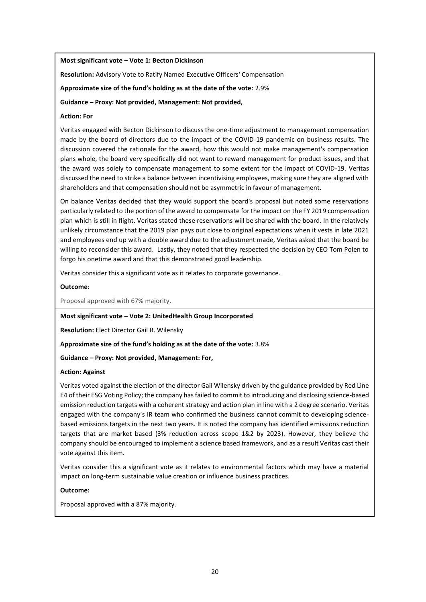#### **Most significant vote – Vote 1: Becton Dickinson**

**Resolution:** Advisory Vote to Ratify Named Executive Officers' Compensation

**Approximate size of the fund's holding as at the date of the vote:** 2.9%

#### **Guidance – Proxy: Not provided, Management: Not provided,**

#### **Action: For**

Veritas engaged with Becton Dickinson to discuss the one-time adjustment to management compensation made by the board of directors due to the impact of the COVID-19 pandemic on business results. The discussion covered the rationale for the award, how this would not make management's compensation plans whole, the board very specifically did not want to reward management for product issues, and that the award was solely to compensate management to some extent for the impact of COVID-19. Veritas discussed the need to strike a balance between incentivising employees, making sure they are aligned with shareholders and that compensation should not be asymmetric in favour of management.

On balance Veritas decided that they would support the board's proposal but noted some reservations particularly related to the portion of the award to compensate for the impact on the FY 2019 compensation plan which is still in flight. Veritas stated these reservations will be shared with the board. In the relatively unlikely circumstance that the 2019 plan pays out close to original expectations when it vests in late 2021 and employees end up with a double award due to the adjustment made, Veritas asked that the board be willing to reconsider this award. Lastly, they noted that they respected the decision by CEO Tom Polen to forgo his onetime award and that this demonstrated good leadership.

Veritas consider this a significant vote as it relates to corporate governance.

#### **Outcome:**

Proposal approved with 67% majority.

#### **Most significant vote – Vote 2: UnitedHealth Group Incorporated**

**Resolution:** Elect Director Gail R. Wilensky

**Approximate size of the fund's holding as at the date of the vote:** 3.8%

**Guidance – Proxy: Not provided, Management: For,**

#### **Action: Against**

Veritas voted against the election of the director Gail Wilensky driven by the guidance provided by Red Line E4 of their ESG Voting Policy; the company has failed to commit to introducing and disclosing science-based emission reduction targets with a coherent strategy and action plan in line with a 2 degree scenario. Veritas engaged with the company's IR team who confirmed the business cannot commit to developing sciencebased emissions targets in the next two years. It is noted the company has identified emissions reduction targets that are market based (3% reduction across scope 1&2 by 2023). However, they believe the company should be encouraged to implement a science based framework, and as a result Veritas cast their vote against this item.

Veritas consider this a significant vote as it relates to environmental factors which may have a material impact on long-term sustainable value creation or influence business practices.

#### **Outcome:**

Proposal approved with a 87% majority.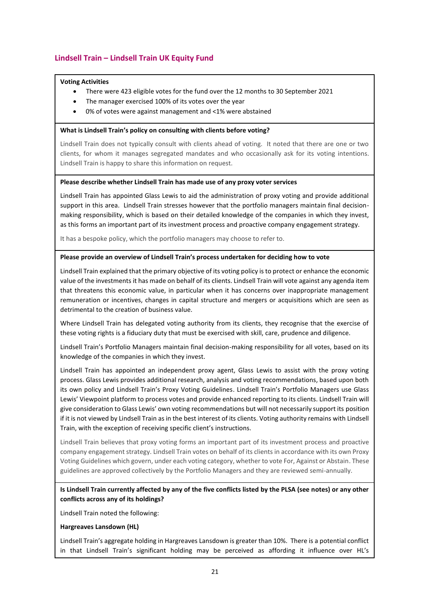# **Lindsell Train – Lindsell Train UK Equity Fund**

#### **Voting Activities**

- There were 423 eligible votes for the fund over the 12 months to 30 September 2021
- The manager exercised 100% of its votes over the year
- 0% of votes were against management and <1% were abstained

#### **What is Lindsell Train's policy on consulting with clients before voting?**

Lindsell Train does not typically consult with clients ahead of voting. It noted that there are one or two clients, for whom it manages segregated mandates and who occasionally ask for its voting intentions. Lindsell Train is happy to share this information on request.

#### **Please describe whether Lindsell Train has made use of any proxy voter services**

Lindsell Train has appointed Glass Lewis to aid the administration of proxy voting and provide additional support in this area. Lindsell Train stresses however that the portfolio managers maintain final decisionmaking responsibility, which is based on their detailed knowledge of the companies in which they invest, as this forms an important part of its investment process and proactive company engagement strategy.

It has a bespoke policy, which the portfolio managers may choose to refer to.

#### **Please provide an overview of Lindsell Train's process undertaken for deciding how to vote**

Lindsell Train explained that the primary objective of its voting policy is to protect or enhance the economic value of the investments it has made on behalf of its clients. Lindsell Train will vote against any agenda item that threatens this economic value, in particular when it has concerns over inappropriate management remuneration or incentives, changes in capital structure and mergers or acquisitions which are seen as detrimental to the creation of business value.

Where Lindsell Train has delegated voting authority from its clients, they recognise that the exercise of these voting rights is a fiduciary duty that must be exercised with skill, care, prudence and diligence.

Lindsell Train's Portfolio Managers maintain final decision-making responsibility for all votes, based on its knowledge of the companies in which they invest.

Lindsell Train has appointed an independent proxy agent, Glass Lewis to assist with the proxy voting process. Glass Lewis provides additional research, analysis and voting recommendations, based upon both its own policy and Lindsell Train's Proxy Voting Guidelines. Lindsell Train's Portfolio Managers use Glass Lewis' Viewpoint platform to process votes and provide enhanced reporting to its clients. Lindsell Train will give consideration to Glass Lewis' own voting recommendations but will not necessarily support its position if it is not viewed by Lindsell Train as in the best interest of its clients. Voting authority remains with Lindsell Train, with the exception of receiving specific client's instructions.

Lindsell Train believes that proxy voting forms an important part of its investment process and proactive company engagement strategy. Lindsell Train votes on behalf of its clients in accordance with its own Proxy Voting Guidelines which govern, under each voting category, whether to vote For, Against or Abstain. These guidelines are approved collectively by the Portfolio Managers and they are reviewed semi-annually.

#### **Is Lindsell Train currently affected by any of the five conflicts listed by the PLSA (see notes) or any other conflicts across any of its holdings?**

Lindsell Train noted the following:

#### **Hargreaves Lansdown (HL)**

Lindsell Train's aggregate holding in Hargreaves Lansdown is greater than 10%. There is a potential conflict in that Lindsell Train's significant holding may be perceived as affording it influence over HL's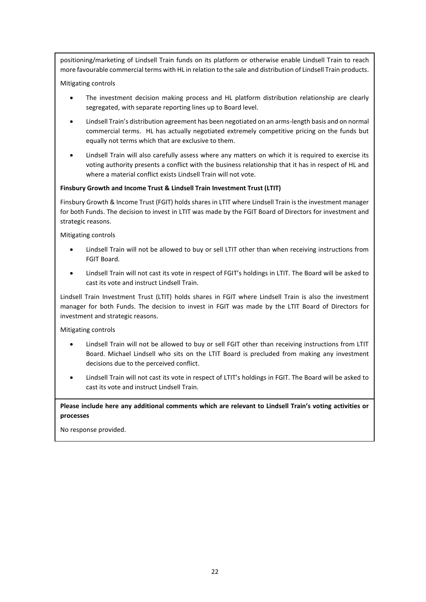positioning/marketing of Lindsell Train funds on its platform or otherwise enable Lindsell Train to reach more favourable commercial terms with HL in relation to the sale and distribution of Lindsell Train products.

Mitigating controls

- The investment decision making process and HL platform distribution relationship are clearly segregated, with separate reporting lines up to Board level.
- Lindsell Train's distribution agreement has been negotiated on an arms-length basis and on normal commercial terms. HL has actually negotiated extremely competitive pricing on the funds but equally not terms which that are exclusive to them.
- Lindsell Train will also carefully assess where any matters on which it is required to exercise its voting authority presents a conflict with the business relationship that it has in respect of HL and where a material conflict exists Lindsell Train will not vote.

#### **Finsbury Growth and Income Trust & Lindsell Train Investment Trust (LTIT)**

Finsbury Growth & Income Trust (FGIT) holds shares in LTIT where Lindsell Train is the investment manager for both Funds. The decision to invest in LTIT was made by the FGIT Board of Directors for investment and strategic reasons.

Mitigating controls

- Lindsell Train will not be allowed to buy or sell LTIT other than when receiving instructions from FGIT Board.
- Lindsell Train will not cast its vote in respect of FGIT's holdings in LTIT. The Board will be asked to cast its vote and instruct Lindsell Train.

Lindsell Train Investment Trust (LTIT) holds shares in FGIT where Lindsell Train is also the investment manager for both Funds. The decision to invest in FGIT was made by the LTIT Board of Directors for investment and strategic reasons.

Mitigating controls

- Lindsell Train will not be allowed to buy or sell FGIT other than receiving instructions from LTIT Board. Michael Lindsell who sits on the LTIT Board is precluded from making any investment decisions due to the perceived conflict.
- Lindsell Train will not cast its vote in respect of LTIT's holdings in FGIT. The Board will be asked to cast its vote and instruct Lindsell Train.

**Please include here any additional comments which are relevant to Lindsell Train's voting activities or processes**

No response provided.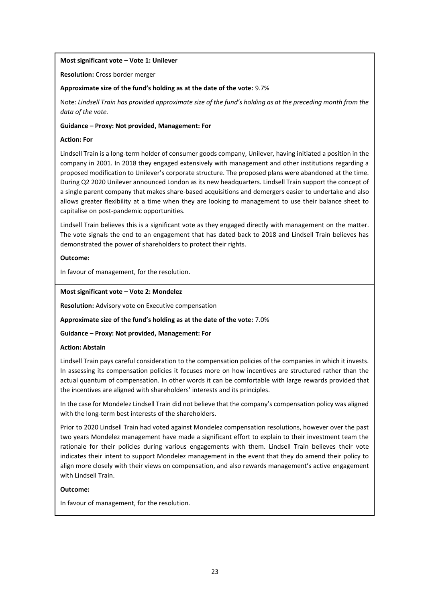#### **Most significant vote – Vote 1: Unilever**

**Resolution:** Cross border merger

#### **Approximate size of the fund's holding as at the date of the vote:** 9.7%

Note: *Lindsell Train has provided approximate size of the fund's holding as at the preceding month from the data of the vote.*

#### **Guidance – Proxy: Not provided, Management: For**

#### **Action: For**

Lindsell Train is a long-term holder of consumer goods company, Unilever, having initiated a position in the company in 2001. In 2018 they engaged extensively with management and other institutions regarding a proposed modification to Unilever's corporate structure. The proposed plans were abandoned at the time. During Q2 2020 Unilever announced London as its new headquarters. Lindsell Train support the concept of a single parent company that makes share-based acquisitions and demergers easier to undertake and also allows greater flexibility at a time when they are looking to management to use their balance sheet to capitalise on post-pandemic opportunities.

Lindsell Train believes this is a significant vote as they engaged directly with management on the matter. The vote signals the end to an engagement that has dated back to 2018 and Lindsell Train believes has demonstrated the power of shareholders to protect their rights.

#### **Outcome:**

In favour of management, for the resolution.

#### **Most significant vote – Vote 2: Mondelez**

**Resolution:** Advisory vote on Executive compensation

**Approximate size of the fund's holding as at the date of the vote:** 7.0%

#### **Guidance – Proxy: Not provided, Management: For**

#### **Action: Abstain**

Lindsell Train pays careful consideration to the compensation policies of the companies in which it invests. In assessing its compensation policies it focuses more on how incentives are structured rather than the actual quantum of compensation. In other words it can be comfortable with large rewards provided that the incentives are aligned with shareholders' interests and its principles.

In the case for Mondelez Lindsell Train did not believe that the company's compensation policy was aligned with the long-term best interests of the shareholders.

Prior to 2020 Lindsell Train had voted against Mondelez compensation resolutions, however over the past two years Mondelez management have made a significant effort to explain to their investment team the rationale for their policies during various engagements with them. Lindsell Train believes their vote indicates their intent to support Mondelez management in the event that they do amend their policy to align more closely with their views on compensation, and also rewards management's active engagement with Lindsell Train.

#### **Outcome:**

In favour of management, for the resolution.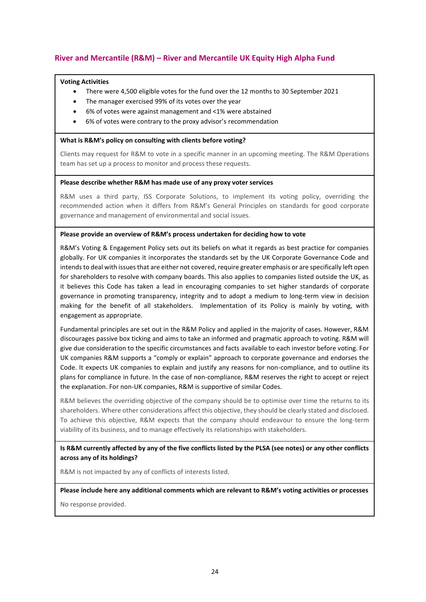# **River and Mercantile (R&M) – River and Mercantile UK Equity High Alpha Fund**

#### **Voting Activities**

- There were 4,500 eligible votes for the fund over the 12 months to 30 September 2021
- The manager exercised 99% of its votes over the year
- 6% of votes were against management and <1% were abstained
- 6% of votes were contrary to the proxy advisor's recommendation

#### **What is R&M's policy on consulting with clients before voting?**

Clients may request for R&M to vote in a specific manner in an upcoming meeting. The R&M Operations team has set up a process to monitor and process these requests.

#### **Please describe whether R&M has made use of any proxy voter services**

R&M uses a third party, ISS Corporate Solutions, to implement its voting policy, overriding the recommended action when it differs from R&M's General Principles on standards for good corporate governance and management of environmental and social issues.

#### **Please provide an overview of R&M's process undertaken for deciding how to vote**

R&M's Voting & Engagement Policy sets out its beliefs on what it regards as best practice for companies globally. For UK companies it incorporates the standards set by the UK Corporate Governance Code and intends to deal with issues that are either not covered, require greater emphasis or are specifically left open for shareholders to resolve with company boards. This also applies to companies listed outside the UK, as it believes this Code has taken a lead in encouraging companies to set higher standards of corporate governance in promoting transparency, integrity and to adopt a medium to long-term view in decision making for the benefit of all stakeholders. Implementation of its Policy is mainly by voting, with engagement as appropriate.

Fundamental principles are set out in the R&M Policy and applied in the majority of cases. However, R&M discourages passive box ticking and aims to take an informed and pragmatic approach to voting. R&M will give due consideration to the specific circumstances and facts available to each investor before voting. For UK companies R&M supports a "comply or explain" approach to corporate governance and endorses the Code. It expects UK companies to explain and justify any reasons for non-compliance, and to outline its plans for compliance in future. In the case of non-compliance, R&M reserves the right to accept or reject the explanation. For non-UK companies, R&M is supportive of similar Codes.

R&M believes the overriding objective of the company should be to optimise over time the returns to its shareholders. Where other considerations affect this objective, they should be clearly stated and disclosed. To achieve this objective, R&M expects that the company should endeavour to ensure the long-term viability of its business, and to manage effectively its relationships with stakeholders.

**Is R&M currently affected by any of the five conflicts listed by the PLSA (see notes) or any other conflicts across any of its holdings?** 

R&M is not impacted by any of conflicts of interests listed.

**Please include here any additional comments which are relevant to R&M's voting activities or processes** No response provided.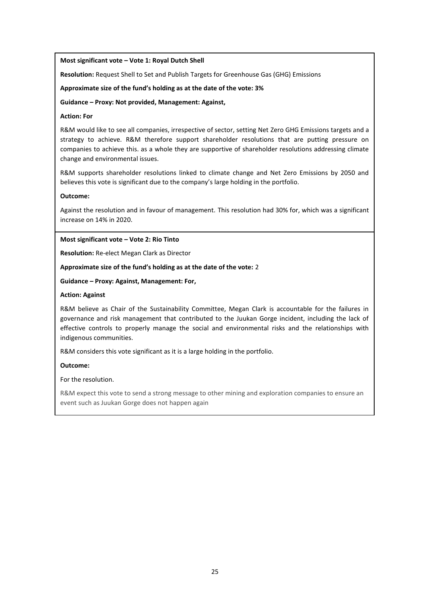#### **Most significant vote – Vote 1: Royal Dutch Shell**

**Resolution:** Request Shell to Set and Publish Targets for Greenhouse Gas (GHG) Emissions

**Approximate size of the fund's holding as at the date of the vote: 3%**

**Guidance – Proxy: Not provided, Management: Against,**

#### **Action: For**

R&M would like to see all companies, irrespective of sector, setting Net Zero GHG Emissions targets and a strategy to achieve. R&M therefore support shareholder resolutions that are putting pressure on companies to achieve this. as a whole they are supportive of shareholder resolutions addressing climate change and environmental issues.

R&M supports shareholder resolutions linked to climate change and Net Zero Emissions by 2050 and believes this vote is significant due to the company's large holding in the portfolio.

#### **Outcome:**

Against the resolution and in favour of management. This resolution had 30% for, which was a significant increase on 14% in 2020.

**Most significant vote – Vote 2: Rio Tinto**

**Resolution:** Re-elect Megan Clark as Director

**Approximate size of the fund's holding as at the date of the vote:** 2

**Guidance – Proxy: Against, Management: For,**

#### **Action: Against**

R&M believe as Chair of the Sustainability Committee, Megan Clark is accountable for the failures in governance and risk management that contributed to the Juukan Gorge incident, including the lack of effective controls to properly manage the social and environmental risks and the relationships with indigenous communities.

R&M considers this vote significant as it is a large holding in the portfolio.

#### **Outcome:**

For the resolution.

R&M expect this vote to send a strong message to other mining and exploration companies to ensure an event such as Juukan Gorge does not happen again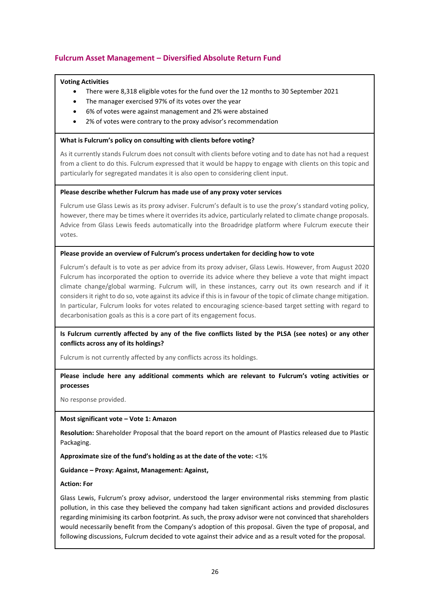# **Fulcrum Asset Management – Diversified Absolute Return Fund**

#### **Voting Activities**

- There were 8,318 eligible votes for the fund over the 12 months to 30 September 2021
- The manager exercised 97% of its votes over the year
- 6% of votes were against management and 2% were abstained
- 2% of votes were contrary to the proxy advisor's recommendation

#### **What is Fulcrum's policy on consulting with clients before voting?**

As it currently stands Fulcrum does not consult with clients before voting and to date has not had a request from a client to do this. Fulcrum expressed that it would be happy to engage with clients on this topic and particularly for segregated mandates it is also open to considering client input.

#### **Please describe whether Fulcrum has made use of any proxy voter services**

Fulcrum use Glass Lewis as its proxy adviser. Fulcrum's default is to use the proxy's standard voting policy, however, there may be times where it overrides its advice, particularly related to climate change proposals. Advice from Glass Lewis feeds automatically into the Broadridge platform where Fulcrum execute their votes.

#### **Please provide an overview of Fulcrum's process undertaken for deciding how to vote**

Fulcrum's default is to vote as per advice from its proxy adviser, Glass Lewis. However, from August 2020 Fulcrum has incorporated the option to override its advice where they believe a vote that might impact climate change/global warming. Fulcrum will, in these instances, carry out its own research and if it considers it right to do so, vote against its advice if this is in favour of the topic of climate change mitigation. In particular, Fulcrum looks for votes related to encouraging science-based target setting with regard to decarbonisation goals as this is a core part of its engagement focus.

#### **Is Fulcrum currently affected by any of the five conflicts listed by the PLSA (see notes) or any other conflicts across any of its holdings?**

Fulcrum is not currently affected by any conflicts across its holdings.

#### **Please include here any additional comments which are relevant to Fulcrum's voting activities or processes**

No response provided.

#### **Most significant vote – Vote 1: Amazon**

**Resolution:** Shareholder Proposal that the board report on the amount of Plastics released due to Plastic Packaging.

**Approximate size of the fund's holding as at the date of the vote:** <1%

#### **Guidance – Proxy: Against, Management: Against,**

#### **Action: For**

Glass Lewis, Fulcrum's proxy advisor, understood the larger environmental risks stemming from plastic pollution, in this case they believed the company had taken significant actions and provided disclosures regarding minimising its carbon footprint. As such, the proxy advisor were not convinced that shareholders would necessarily benefit from the Company's adoption of this proposal. Given the type of proposal, and following discussions, Fulcrum decided to vote against their advice and as a result voted for the proposal.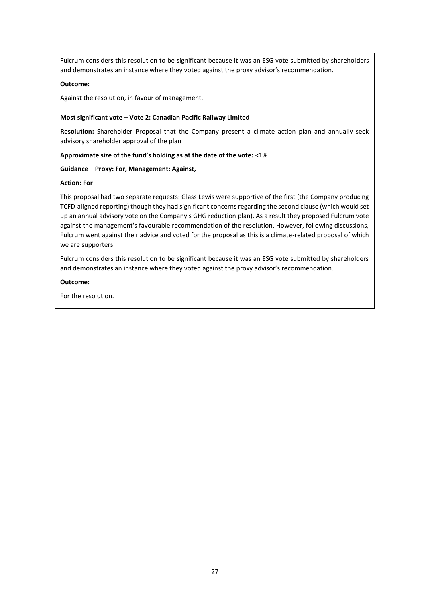Fulcrum considers this resolution to be significant because it was an ESG vote submitted by shareholders and demonstrates an instance where they voted against the proxy advisor's recommendation.

#### **Outcome:**

Against the resolution, in favour of management.

#### **Most significant vote – Vote 2: Canadian Pacific Railway Limited**

**Resolution:** Shareholder Proposal that the Company present a climate action plan and annually seek advisory shareholder approval of the plan

#### **Approximate size of the fund's holding as at the date of the vote:** <1%

#### **Guidance – Proxy: For, Management: Against,**

#### **Action: For**

This proposal had two separate requests: Glass Lewis were supportive of the first (the Company producing TCFD-aligned reporting) though they had significant concerns regarding the second clause (which would set up an annual advisory vote on the Company's GHG reduction plan). As a result they proposed Fulcrum vote against the management's favourable recommendation of the resolution. However, following discussions, Fulcrum went against their advice and voted for the proposal as this is a climate-related proposal of which we are supporters.

Fulcrum considers this resolution to be significant because it was an ESG vote submitted by shareholders and demonstrates an instance where they voted against the proxy advisor's recommendation.

#### **Outcome:**

For the resolution.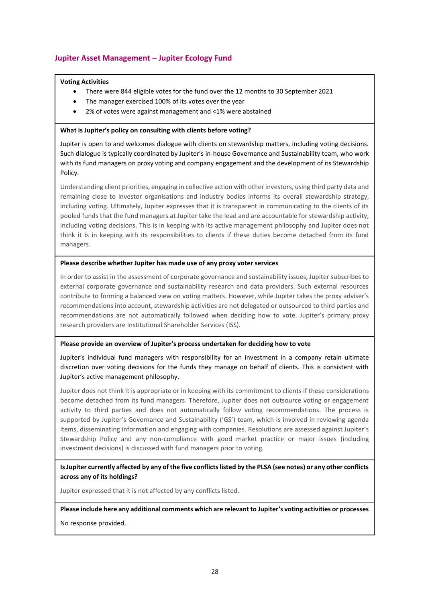## **Jupiter Asset Management – Jupiter Ecology Fund**

#### **Voting Activities**

- There were 844 eligible votes for the fund over the 12 months to 30 September 2021
- The manager exercised 100% of its votes over the year
- 2% of votes were against management and <1% were abstained

#### **What is Jupiter's policy on consulting with clients before voting?**

Jupiter is open to and welcomes dialogue with clients on stewardship matters, including voting decisions. Such dialogue is typically coordinated by Jupiter's in-house Governance and Sustainability team, who work with its fund managers on proxy voting and company engagement and the development of its Stewardship Policy.

Understanding client priorities, engaging in collective action with other investors, using third party data and remaining close to investor organisations and industry bodies informs its overall stewardship strategy, including voting. Ultimately, Jupiter expresses that it is transparent in communicating to the clients of its pooled funds that the fund managers at Jupiter take the lead and are accountable for stewardship activity, including voting decisions. This is in keeping with its active management philosophy and Jupiter does not think it is in keeping with its responsibilities to clients if these duties become detached from its fund managers.

#### **Please describe whether Jupiter has made use of any proxy voter services**

In order to assist in the assessment of corporate governance and sustainability issues, Jupiter subscribes to external corporate governance and sustainability research and data providers. Such external resources contribute to forming a balanced view on voting matters. However, while Jupiter takes the proxy adviser's recommendations into account, stewardship activities are not delegated or outsourced to third parties and recommendations are not automatically followed when deciding how to vote. Jupiter's primary proxy research providers are Institutional Shareholder Services (ISS).

#### **Please provide an overview of Jupiter's process undertaken for deciding how to vote**

Jupiter's individual fund managers with responsibility for an investment in a company retain ultimate discretion over voting decisions for the funds they manage on behalf of clients. This is consistent with Jupiter's active management philosophy.

Jupiter does not think it is appropriate or in keeping with its commitment to clients if these considerations become detached from its fund managers. Therefore, Jupiter does not outsource voting or engagement activity to third parties and does not automatically follow voting recommendations. The process is supported by Jupiter's Governance and Sustainability ('GS') team, which is involved in reviewing agenda items, disseminating information and engaging with companies. Resolutions are assessed against Jupiter's Stewardship Policy and any non-compliance with good market practice or major issues (including investment decisions) is discussed with fund managers prior to voting.

**Is Jupiter currently affected by any of the five conflicts listed by the PLSA (see notes) or any other conflicts across any of its holdings?** 

Jupiter expressed that it is not affected by any conflicts listed.

#### **Please include here any additional comments which are relevant to Jupiter's voting activities or processes**

No response provided.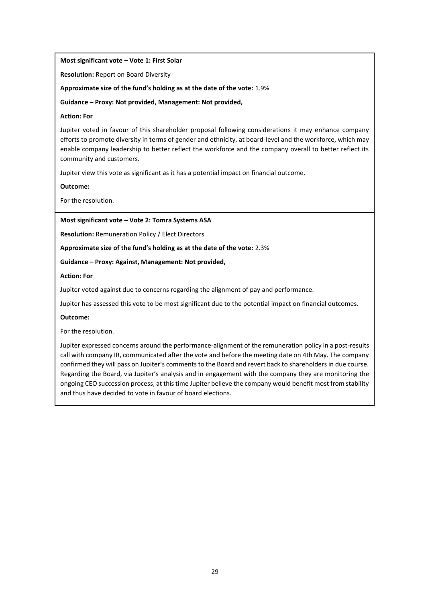#### **Most significant vote – Vote 1: First Solar**

**Resolution:** Report on Board Diversity

**Approximate size of the fund's holding as at the date of the vote:** 1.9%

**Guidance – Proxy: Not provided, Management: Not provided,**

#### **Action: For**

Jupiter voted in favour of this shareholder proposal following considerations it may enhance company efforts to promote diversity in terms of gender and ethnicity, at board-level and the workforce, which may enable company leadership to better reflect the workforce and the company overall to better reflect its community and customers.

Jupiter view this vote as significant as it has a potential impact on financial outcome.

**Outcome:** 

For the resolution.

#### **Most significant vote – Vote 2: Tomra Systems ASA**

**Resolution:** Remuneration Policy / Elect Directors

#### **Approximate size of the fund's holding as at the date of the vote:** 2.3%

#### **Guidance – Proxy: Against, Management: Not provided,**

#### **Action: For**

Jupiter voted against due to concerns regarding the alignment of pay and performance.

Jupiter has assessed this vote to be most significant due to the potential impact on financial outcomes.

#### **Outcome:**

For the resolution.

Jupiter expressed concerns around the performance-alignment of the remuneration policy in a post-results call with company IR, communicated after the vote and before the meeting date on 4th May. The company confirmed they will pass on Jupiter's comments to the Board and revert back to shareholders in due course. Regarding the Board, via Jupiter's analysis and in engagement with the company they are monitoring the ongoing CEO succession process, at this time Jupiter believe the company would benefit most from stability and thus have decided to vote in favour of board elections.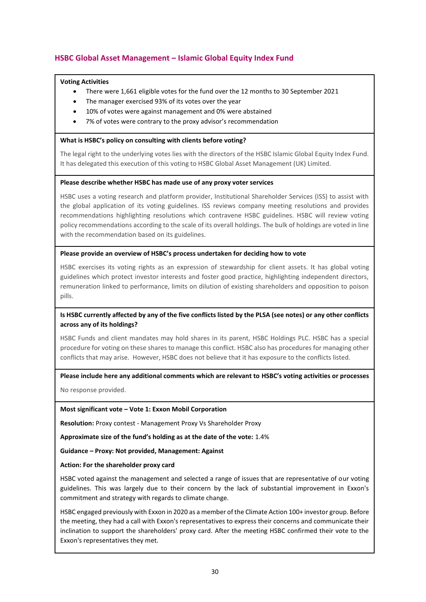# **HSBC Global Asset Management – Islamic Global Equity Index Fund**

#### **Voting Activities**

- There were 1,661 eligible votes for the fund over the 12 months to 30 September 2021
- The manager exercised 93% of its votes over the year
- 10% of votes were against management and 0% were abstained
- 7% of votes were contrary to the proxy advisor's recommendation

#### **What is HSBC's policy on consulting with clients before voting?**

The legal right to the underlying votes lies with the directors of the HSBC Islamic Global Equity Index Fund. It has delegated this execution of this voting to HSBC Global Asset Management (UK) Limited.

#### **Please describe whether HSBC has made use of any proxy voter services**

HSBC uses a voting research and platform provider, Institutional Shareholder Services (ISS) to assist with the global application of its voting guidelines. ISS reviews company meeting resolutions and provides recommendations highlighting resolutions which contravene HSBC guidelines. HSBC will review voting policy recommendations according to the scale of its overall holdings. The bulk of holdings are voted in line with the recommendation based on its guidelines.

#### **Please provide an overview of HSBC's process undertaken for deciding how to vote**

HSBC exercises its voting rights as an expression of stewardship for client assets. It has global voting guidelines which protect investor interests and foster good practice, highlighting independent directors, remuneration linked to performance, limits on dilution of existing shareholders and opposition to poison pills.

#### **Is HSBC currently affected by any of the five conflicts listed by the PLSA (see notes) or any other conflicts across any of its holdings?**

HSBC Funds and client mandates may hold shares in its parent, HSBC Holdings PLC. HSBC has a special procedure for voting on these shares to manage this conflict. HSBC also has procedures for managing other conflicts that may arise. However, HSBC does not believe that it has exposure to the conflicts listed.

#### **Please include here any additional comments which are relevant to HSBC's voting activities or processes**

No response provided.

#### **Most significant vote – Vote 1: Exxon Mobil Corporation**

**Resolution:** Proxy contest - Management Proxy Vs Shareholder Proxy

**Approximate size of the fund's holding as at the date of the vote:** 1.4%

**Guidance – Proxy: Not provided, Management: Against**

#### **Action: For the shareholder proxy card**

HSBC voted against the management and selected a range of issues that are representative of our voting guidelines. This was largely due to their concern by the lack of substantial improvement in Exxon's commitment and strategy with regards to climate change.

HSBC engaged previously with Exxon in 2020 as a member of the Climate Action 100+ investor group. Before the meeting, they had a call with Exxon's representatives to express their concerns and communicate their inclination to support the shareholders' proxy card. After the meeting HSBC confirmed their vote to the Exxon's representatives they met.